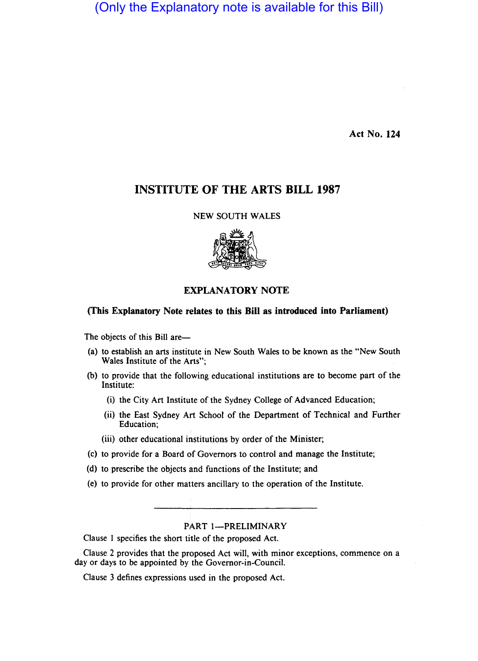(Only the Explanatory note is available for this Bill)

Act No. 124

# INSTITUTE OF THE ARTS BILL 1987

NEW SOUTH WALES



# EXPLANATORY NOTE

# (This Explanatory Note relates to this Bill as introduced into Parliament)

The objects of this Bill are-

- (a) to establish an arts institute in New South Wales to be known as the "New South Wales Institute of the Arts";
- (b) to provide that the following educational institutions are to become part of the Institute:
	- (i) the City Art Institute of the Sydney College of Advanced Education;
	- (ii) the East Sydney Art School of the Department of Technical and Further Education;
	- (iii) other educational institutions by order of the Minister;
- (c) to provide for a Board qf Governors to control and manage the Institute;
- (d) to prescribe the objects and functions of the Institute; and
- (e) to provide for other matters ancillary to the operation of the Institute.

### PART 1-PRELIMINARY

Clause I specifies the short title of the proposed Act.

Clause 2 provides that the proposed Act will, with minor exceptions, commence on a day or days to be appointed by the Governor-in-Council.

Clause 3 defines expressions used in the proposed Act.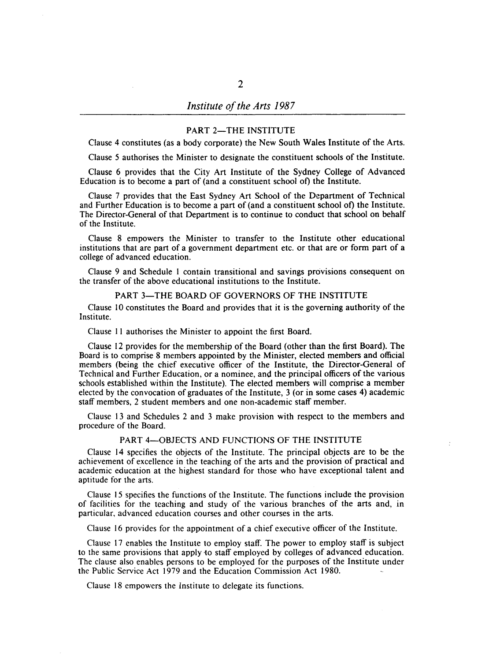#### PART 2-THE INSTITUTE

Clause 4 constitutes (as a body corporate) the New South Wales Institute of the Arts.

Clause 5 authorises the Minister to designate the constituent schools of the Institute.

Clause 6 provides that the City Art Institute of the Sydney College of Advanced Education is to become a part of (and a constituent school of) the Institute.

Clause 7 provides that the East Sydney Art School of the Department of Technical and Further Education is to become a part of (and a constituent school of) the Institute. The Director-General of that Department is to continue to conduct that school on behalf of the Institute.

Clause 8 empowers the Minister to transfer to the Institute other educational institutions that are part of a government department etc. or that are or form part of a college of advanced education.

Clause 9 and Schedule I contain transitional and savings provisions consequent on the transfer of the above educational institutions to the Institute.

### PART 3-THE BOARD OF GOVERNORS OF THE INSTITUTE

Clause 10 constitutes the Board and provides that it is the governing authority of the Institute.

Clause 11 authorises the Minister to appoint the first Board.

Clause 12 provides for the membership of the Board (other than the first Board). The Board is to comprise 8 members appointed by the Minister, elected members and official members (being the chief executive officer of the Institute, the Director-General of Technical and Further Education, or a nominee, and the principal officers of the various schools established within the Institute). The elected members will comprise a member elected by the convocation of graduates of the Institute, 3 (or in some cases 4) academic staff members, 2 student members and one non-academic staff member.

Clause 13 and Schedules 2 and 3 make provision with respect to the members and procedure of the Board.

### PART 4-OBJECTS AND FUNCTIONS OF THE INSTITUTE

Clause 14 specifies the objects of the Institute. The principal objects are to be the achievement of excellence in the teaching of the arts and the provision of practical and academic education at the highest standard for those who have exceptional talent and aptitude for the arts.

Clause 15 specifies the functions of the Institute. The functions include the provision of facilities for the teaching and study of the various branches of the arts and, in particular, advanced education courses and other courses in the arts.

Clause 16 provides for the appointment of a chief executive officer of the Institute.

Clause 17 enables the Institute to employ staff. The power to employ staff is subject to the same provisions that apply to staff employed by colleges of advanced education. The clause also enables persons to be employed for the purposes of the Institute under the Public Service Act 1979 and the Education Commission Act 1980.

Clause 18 empowers the Institute to delegate its functions.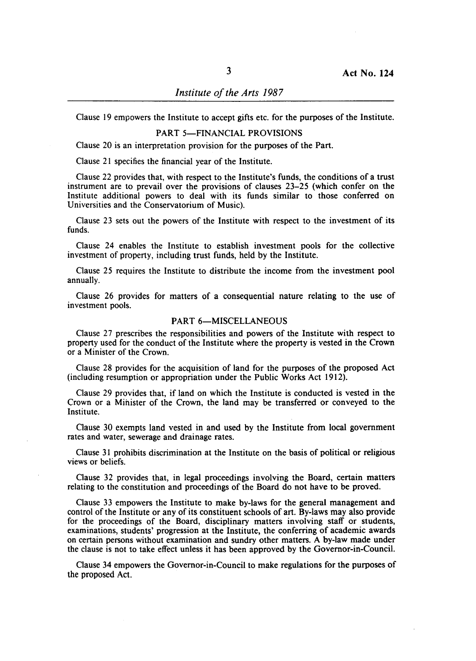Clause 19 empowers the Institute to accept gifts etc. for the purposes of the Institute.

# PART 5-FINANCIAL PROVISIONS

Clause 20 is an interpretation provision for the purposes of the Part.

Clause 21 specifies the financial year of the Institute.

Clause 22 provides that, with respect to the Institute's funds, the conditions of a trust instrument are to prevail over the provisions of clauses 23-25 (which confer on the Institute additional powers to deal with its funds similar to those conferred on Universities and the Conservatorium of Music).

Clause 23 sets out the powers of the Institute with respect to the investment of its funds.

Clause 24 enables the Institute to establish investment pools for the collective investment of property, including trust funds, held by the Institute.

Clause 25 requires the Institute to distribute the income from the investment pool annually.

Clause 26 provides for matters of a consequential nature relating to the use of investment pools.

### PART 6-MISCELLANEOUS

Clause 27 prescribes the responsibilities and powers of the Institute with respect to property used for the conduct of the Institute where the property is vested in the Crown or a Minister of the Crown.

Clause 28 provides for the acquisition of land for the purposes of the proposed Act (including resumption or appropriation under the Public Works Act 1912).

Clause 29 provides that, if land on which the Institute is conducted is vested in the Crown or a Minister of the Crown, the land may be transferred or conveyed to the Institute.

Clause 30 exempts land vested in and used by the Institute from local government rates and water, sewerage and drainage rates.

Clause 31 prohibits discrimination at the Institute on the basis of political or religious views or beliefs.

Clause 32 provides that, in legal proceedings involving the Board, certain matters relating to the constitution and proceedings of the Board do not have to be proved.

Clause 33 empowers the Institute to make by-laws for the general management and control of the Institute or any of its constituent schools of art. By-laws may also provide for the proceedings of the Board, disciplinary matters involving staff or students, examinations, students' progression at the Institute, the conferring of academic awards on certain persons without examination and sundry other matters. A by-law made under the clause is not to take effect unless it has been approved by the Governor-in-Council.

Clause 34 empowers the Governor-in-Council to make regulations for the purposes of the proposed Act.